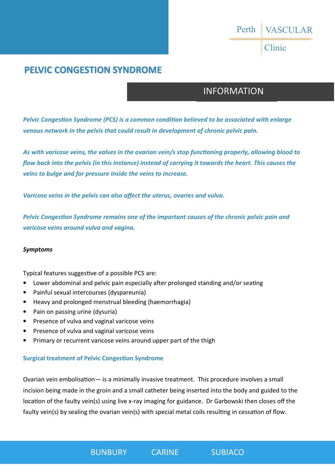## VASCULAR Perth

Clinic

### **PELVIC CONGESTION SYNDROME**

### INFORMATION

Pelvic Congestion Syndrome (PCS) is a common condition believed to be associated with enlarge *venous network in the pelvis that could result in development of chronic pelvic pain.* 

As with varicose veins, the valves in the ovarian vein/s stop functioning properly, allowing blood to *flow back into the pelvis (in this instance) instead of carrying it towards the heart. This causes the veins to bulge and for pressure inside the veins to increase.* 

*Varicose veins in the pelvis can also affect the uterus, ovaries and vulva.* 

Pelvic Congestion Syndrome remains one of the important causes of the chronic pelvic pain and *varicose veins around vulva and vagina.* 

#### *Symptoms*

Typical features suggestive of a possible PCS are:

- Lower abdominal and pelvic pain especially after prolonged standing and/or seating
- Painful sexual intercourses (dyspareunia)
- Heavy and prolonged menstrual bleeding (haemorrhagia)
- Pain on passing urine (dysuria)
- Presence of vulva and vaginal varicose veins
- Presence of vulva and vaginal varicose veins
- Primary or recurrent varicose veins around upper part of the thigh

#### **Surgical treatment of Pelvic Congestion Syndrome**

Ovarian vein embolisation— is a minimally invasive treatment. This procedure involves a small incision being made in the groin and a small catheter being inserted into the body and guided to the location of the faulty vein(s) using live x-ray imaging for guidance. Dr Garbowski then closes off the faulty vein(s) by sealing the ovarian vein(s) with special metal coils resulting in cessation of flow.